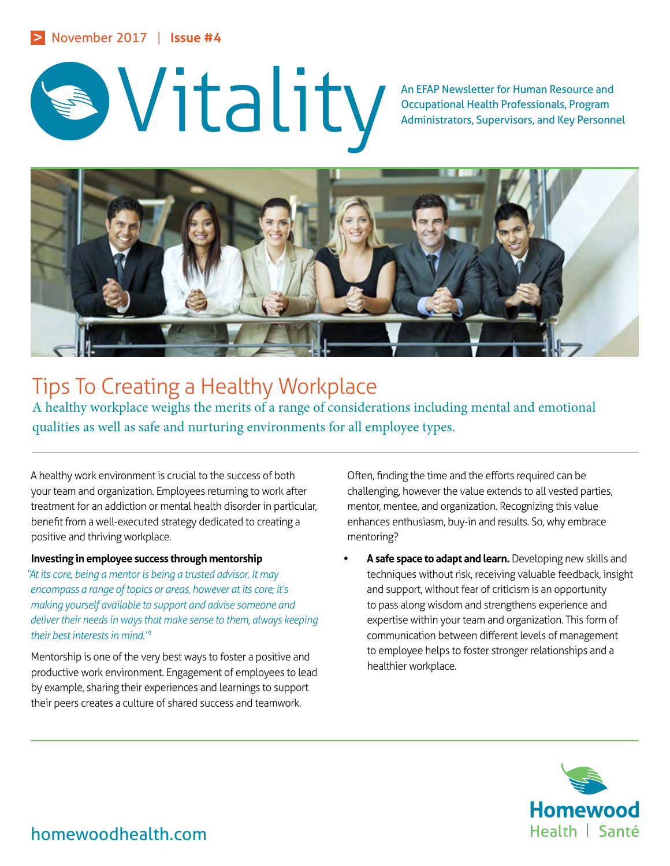# An EFAP Newsletter for Human Resource and Occupational Health Professionals, Program<br>Administrators, Supervisors, and Key Personn

Occupational Health Professionals, Program Administrators, Supervisors, and Key Personnel



## Tips To Creating a Healthy Workplace

A healthy workplace weighs the merits of a range of considerations including mental and emotional qualities as well as safe and nurturing environments for all employee types.

A healthy work environment is crucial to the success of both your team and organization. Employees returning to work after treatment for an addiction or mental health disorder in particular, benefit from a well-executed strategy dedicated to creating a positive and thriving workplace.

### **Investing in employee success through mentorship**

*"At its core, being a mentor is being a trusted advisor. It may encompass a range of topics or areas, however at its core; it's making yourself available to support and advise someone and deliver their needs in ways that make sense to them, always keeping their best interests in mind."1*

Mentorship is one of the very best ways to foster a positive and productive work environment. Engagement of employees to lead by example, sharing their experiences and learnings to support their peers creates a culture of shared success and teamwork.

Often, finding the time and the efforts required can be challenging, however the value extends to all vested parties, mentor, mentee, and organization. Recognizing this value enhances enthusiasm, buy-in and results. So, why embrace mentoring?

**• A safe space to adapt and learn.** Developing new skills and techniques without risk, receiving valuable feedback, insight and support, without fear of criticism is an opportunity to pass along wisdom and strengthens experience and expertise within your team and organization. This form of communication between different levels of management to employee helps to foster stronger relationships and a healthier workplace.



homewoodhealth.com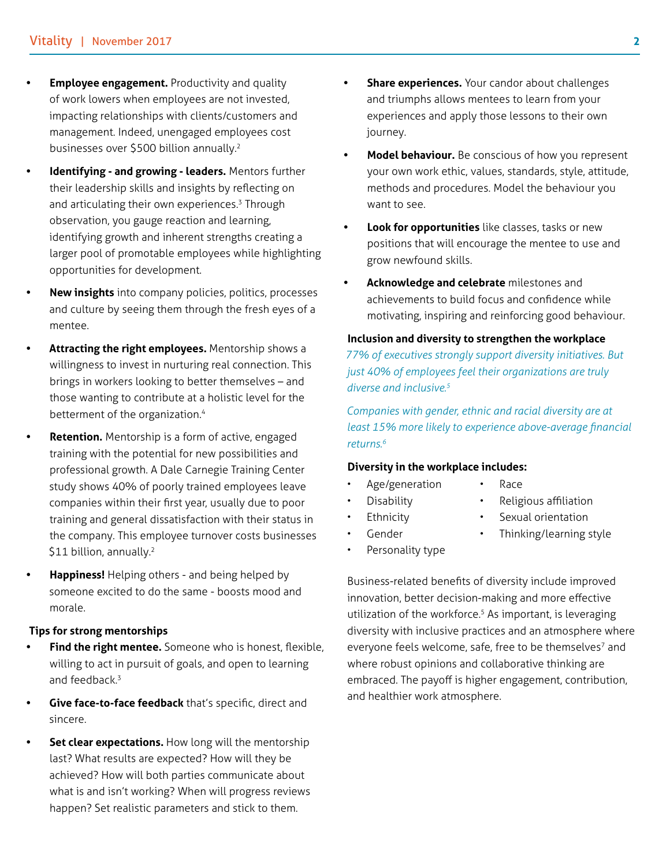- **Employee engagement.** Productivity and quality of work lowers when employees are not invested, impacting relationships with clients/customers and management. Indeed, unengaged employees cost businesses over \$500 billion annually.2
- **• Identifying and growing leaders.** Mentors further their leadership skills and insights by reflecting on and articulating their own experiences.<sup>3</sup> Through observation, you gauge reaction and learning, identifying growth and inherent strengths creating a larger pool of promotable employees while highlighting opportunities for development.
- **• New insights** into company policies, politics, processes and culture by seeing them through the fresh eyes of a mentee.
- **• Attracting the right employees.** Mentorship shows a willingness to invest in nurturing real connection. This brings in workers looking to better themselves – and those wanting to contribute at a holistic level for the betterment of the organization.<sup>4</sup>
- **• Retention.** Mentorship is a form of active, engaged training with the potential for new possibilities and professional growth. A Dale Carnegie Training Center study shows 40% of poorly trained employees leave companies within their first year, usually due to poor training and general dissatisfaction with their status in the company. This employee turnover costs businesses \$11 billion, annually.<sup>2</sup>
- **• Happiness!** Helping others and being helped by someone excited to do the same - boosts mood and morale.

#### **Tips for strong mentorships**

- **• Find the right mentee.** Someone who is honest, flexible, willing to act in pursuit of goals, and open to learning and feedback.<sup>3</sup>
- **• Give face-to-face feedback** that's specific, direct and sincere.
- **Set clear expectations.** How long will the mentorship last? What results are expected? How will they be achieved? How will both parties communicate about what is and isn't working? When will progress reviews happen? Set realistic parameters and stick to them.
- **• Share experiences.** Your candor about challenges and triumphs allows mentees to learn from your experiences and apply those lessons to their own journey.
- **• Model behaviour.** Be conscious of how you represent your own work ethic, values, standards, style, attitude, methods and procedures. Model the behaviour you want to see.
- **• Look for opportunities** like classes, tasks or new positions that will encourage the mentee to use and grow newfound skills.
- **• Acknowledge and celebrate** milestones and achievements to build focus and confidence while motivating, inspiring and reinforcing good behaviour.

#### **Inclusion and diversity to strengthen the workplace**

*77% of executives strongly support diversity initiatives. But just 40% of employees feel their organizations are truly diverse and inclusive.5*

*Companies with gender, ethnic and racial diversity are at least 15% more likely to experience above-average financial returns.6*

#### **Diversity in the workplace includes:**

- Age/generation
	- Religious affiliation
	- **Disability Ethnicity**
- Sexual orientation

• Race

- Gender
- Thinking/learning style
- Personality type

Business-related benefits of diversity include improved innovation, better decision-making and more effective utilization of the workforce.<sup>5</sup> As important, is leveraging diversity with inclusive practices and an atmosphere where everyone feels welcome, safe, free to be themselves<sup>7</sup> and where robust opinions and collaborative thinking are embraced. The payoff is higher engagement, contribution, and healthier work atmosphere.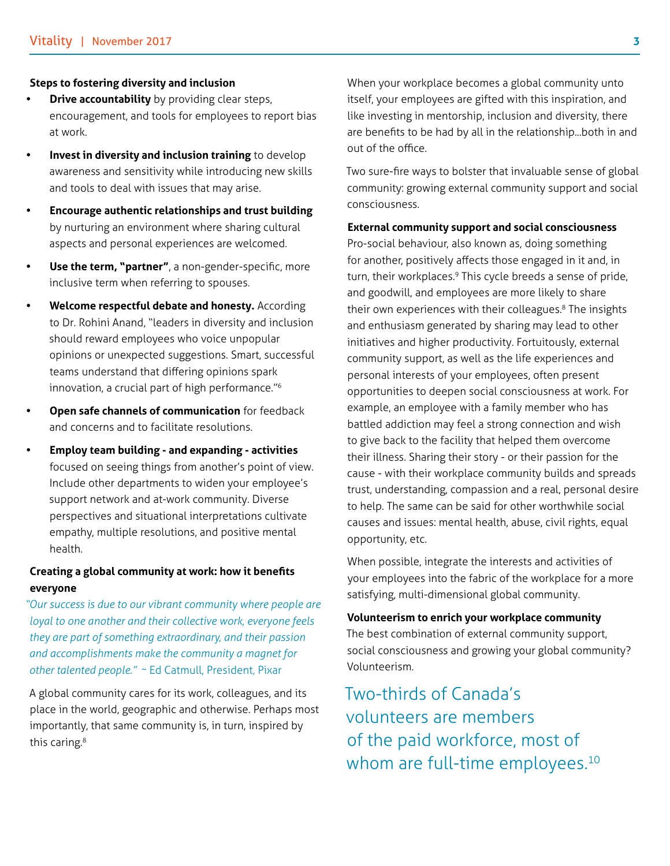#### **Steps to fostering diversity and inclusion**

- **Drive accountability** by providing clear steps, encouragement, and tools for employees to report bias at work.
- **• Invest in diversity and inclusion training** to develop awareness and sensitivity while introducing new skills and tools to deal with issues that may arise.
- **• Encourage authentic relationships and trust building** by nurturing an environment where sharing cultural aspects and personal experiences are welcomed.
- **• Use the term, "partner"**, a non-gender-specific, more inclusive term when referring to spouses.
- **• Welcome respectful debate and honesty.** According to Dr. Rohini Anand, "leaders in diversity and inclusion should reward employees who voice unpopular opinions or unexpected suggestions. Smart, successful teams understand that differing opinions spark innovation, a crucial part of high performance."6
- **• Open safe channels of communication** for feedback and concerns and to facilitate resolutions.
- **• Employ team building and expanding activities**  focused on seeing things from another's point of view. Include other departments to widen your employee's support network and at-work community. Diverse perspectives and situational interpretations cultivate empathy, multiple resolutions, and positive mental health.

#### **Creating a global community at work: how it benefits everyone**

*"Our success is due to our vibrant community where people are loyal to one another and their collective work, everyone feels they are part of something extraordinary, and their passion and accomplishments make the community a magnet for other talented people."* ~ Ed Catmull, President, Pixar

A global community cares for its work, colleagues, and its place in the world, geographic and otherwise. Perhaps most importantly, that same community is, in turn, inspired by this caring.<sup>8</sup>

When your workplace becomes a global community unto itself, your employees are gifted with this inspiration, and like investing in mentorship, inclusion and diversity, there are benefits to be had by all in the relationship...both in and out of the office.

Two sure-fire ways to bolster that invaluable sense of global community: growing external community support and social consciousness.

**External community support and social consciousness**

Pro-social behaviour, also known as, doing something for another, positively affects those engaged in it and, in turn, their workplaces.<sup>9</sup> This cycle breeds a sense of pride, and goodwill, and employees are more likely to share their own experiences with their colleagues.<sup>8</sup> The insights and enthusiasm generated by sharing may lead to other initiatives and higher productivity. Fortuitously, external community support, as well as the life experiences and personal interests of your employees, often present opportunities to deepen social consciousness at work. For example, an employee with a family member who has battled addiction may feel a strong connection and wish to give back to the facility that helped them overcome their illness. Sharing their story - or their passion for the cause - with their workplace community builds and spreads trust, understanding, compassion and a real, personal desire to help. The same can be said for other worthwhile social causes and issues: mental health, abuse, civil rights, equal opportunity, etc.

When possible, integrate the interests and activities of your employees into the fabric of the workplace for a more satisfying, multi-dimensional global community.

#### **Volunteerism to enrich your workplace community**

The best combination of external community support, social consciousness and growing your global community? Volunteerism.

Two-thirds of Canada's volunteers are members of the paid workforce, most of whom are full-time employees.<sup>10</sup>